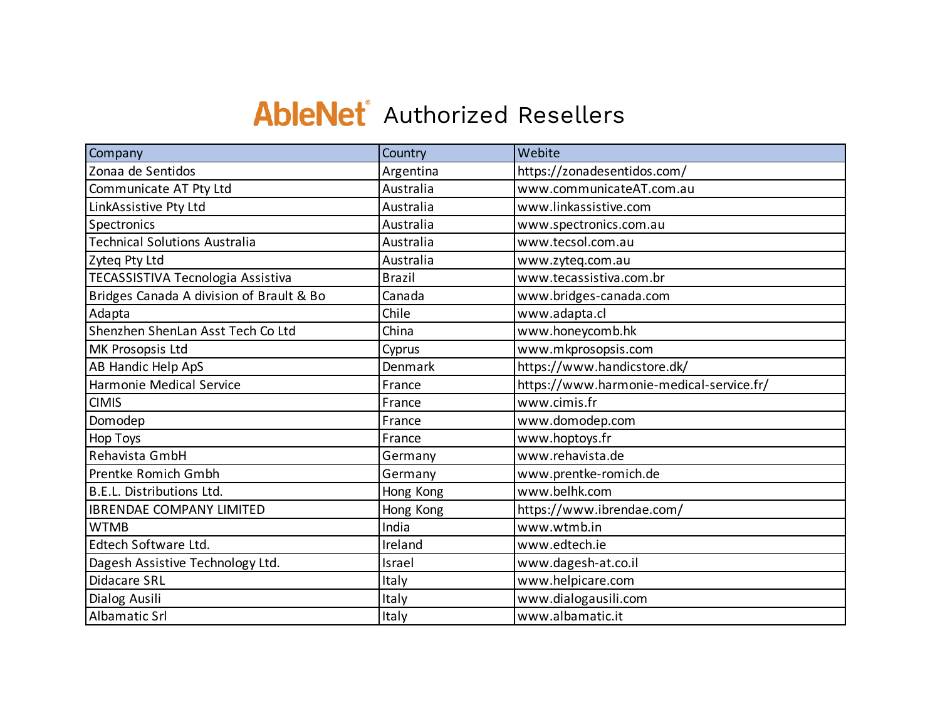## **AbleNet** Authorized Resellers

| Company                                  | Country       | Webite                                   |
|------------------------------------------|---------------|------------------------------------------|
| Zonaa de Sentidos                        | Argentina     | https://zonadesentidos.com/              |
| Communicate AT Pty Ltd                   | Australia     | www.communicateAT.com.au                 |
| LinkAssistive Pty Ltd                    | Australia     | www.linkassistive.com                    |
| Spectronics                              | Australia     | www.spectronics.com.au                   |
| <b>Technical Solutions Australia</b>     | Australia     | www.tecsol.com.au                        |
| Zyteg Pty Ltd                            | Australia     | www.zyteq.com.au                         |
| TECASSISTIVA Tecnologia Assistiva        | <b>Brazil</b> | www.tecassistiva.com.br                  |
| Bridges Canada A division of Brault & Bo | Canada        | www.bridges-canada.com                   |
| Adapta                                   | Chile         | www.adapta.cl                            |
| Shenzhen ShenLan Asst Tech Co Ltd        | China         | www.honeycomb.hk                         |
| MK Prosopsis Ltd                         | Cyprus        | www.mkprosopsis.com                      |
| AB Handic Help ApS                       | Denmark       | https://www.handicstore.dk/              |
| Harmonie Medical Service                 | France        | https://www.harmonie-medical-service.fr/ |
| <b>CIMIS</b>                             | France        | www.cimis.fr                             |
| Domodep                                  | France        | www.domodep.com                          |
| <b>Hop Toys</b>                          | France        | www.hoptoys.fr                           |
| Rehavista GmbH                           | Germany       | www.rehavista.de                         |
| Prentke Romich Gmbh                      | Germany       | www.prentke-romich.de                    |
| B.E.L. Distributions Ltd.                | Hong Kong     | www.belhk.com                            |
| <b>IBRENDAE COMPANY LIMITED</b>          | Hong Kong     | https://www.ibrendae.com/                |
| <b>WTMB</b>                              | India         | www.wtmb.in                              |
| Edtech Software Ltd.                     | Ireland       | www.edtech.ie                            |
| Dagesh Assistive Technology Ltd.         | Israel        | www.dagesh-at.co.il                      |
| Didacare SRL                             | Italy         | www.helpicare.com                        |
| Dialog Ausili                            | Italy         | www.dialogausili.com                     |
| Albamatic Srl                            | Italy         | www.albamatic.it                         |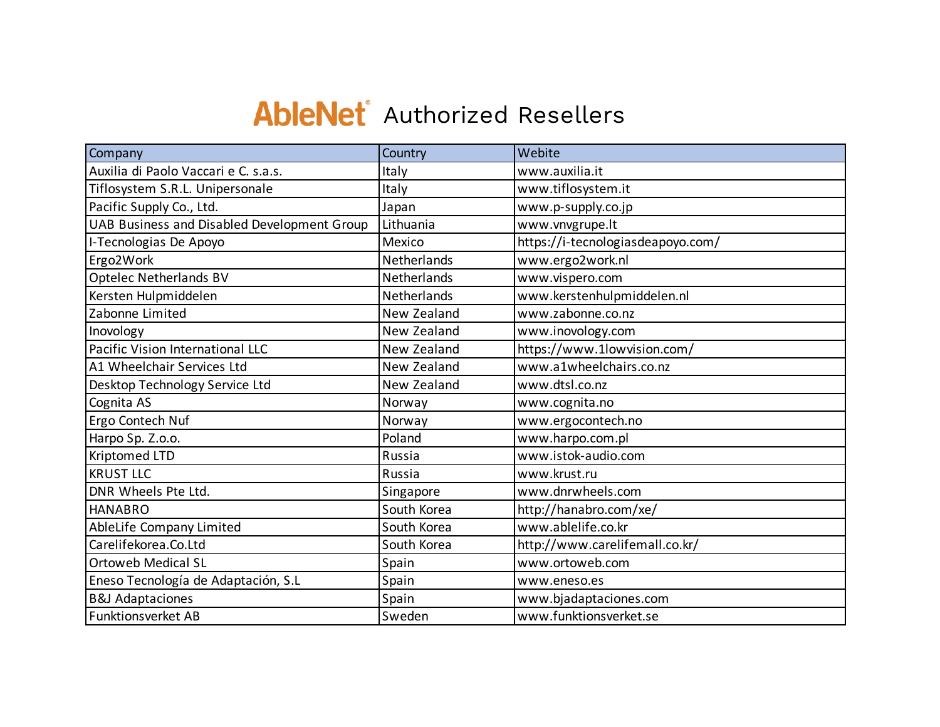## **AbleNet** Authorized Resellers

| Company                                     | Country     | Webite                            |
|---------------------------------------------|-------------|-----------------------------------|
| Auxilia di Paolo Vaccari e C. s.a.s.        | Italy       | www.auxilia.it                    |
| Tiflosystem S.R.L. Unipersonale             | Italy       | www.tiflosystem.it                |
| Pacific Supply Co., Ltd.                    | Japan       | www.p-supply.co.jp                |
| UAB Business and Disabled Development Group | Lithuania   | www.vnvgrupe.lt                   |
| I-Tecnologias De Apoyo                      | Mexico      | https://i-tecnologiasdeapoyo.com/ |
| Ergo2Work                                   | Netherlands | www.ergo2work.nl                  |
| <b>Optelec Netherlands BV</b>               | Netherlands | www.vispero.com                   |
| Kersten Hulpmiddelen                        | Netherlands | www.kerstenhulpmiddelen.nl        |
| Zabonne Limited                             | New Zealand | www.zabonne.co.nz                 |
| Inovology                                   | New Zealand | www.inovology.com                 |
| Pacific Vision International LLC            | New Zealand | https://www.1lowvision.com/       |
| A1 Wheelchair Services Ltd                  | New Zealand | www.a1wheelchairs.co.nz           |
| Desktop Technology Service Ltd              | New Zealand | www.dtsl.co.nz                    |
| Cognita AS                                  | Norway      | www.cognita.no                    |
| Ergo Contech Nuf                            | Norway      | www.ergocontech.no                |
| Harpo Sp. Z.o.o.                            | Poland      | www.harpo.com.pl                  |
| <b>Kriptomed LTD</b>                        | Russia      | www.istok-audio.com               |
| <b>KRUST LLC</b>                            | Russia      | www.krust.ru                      |
| DNR Wheels Pte Ltd.                         | Singapore   | www.dnrwheels.com                 |
| <b>HANABRO</b>                              | South Korea | http://hanabro.com/xe/            |
| AbleLife Company Limited                    | South Korea | www.ablelife.co.kr                |
| Carelifekorea.Co.Ltd                        | South Korea | http://www.carelifemall.co.kr/    |
| <b>Ortoweb Medical SL</b>                   | Spain       | www.ortoweb.com                   |
| Eneso Tecnología de Adaptación, S.L         | Spain       | www.eneso.es                      |
| <b>B&amp;J Adaptaciones</b>                 | Spain       | www.bjadaptaciones.com            |
| <b>Funktionsverket AB</b>                   | Sweden      | www.funktionsverket.se            |